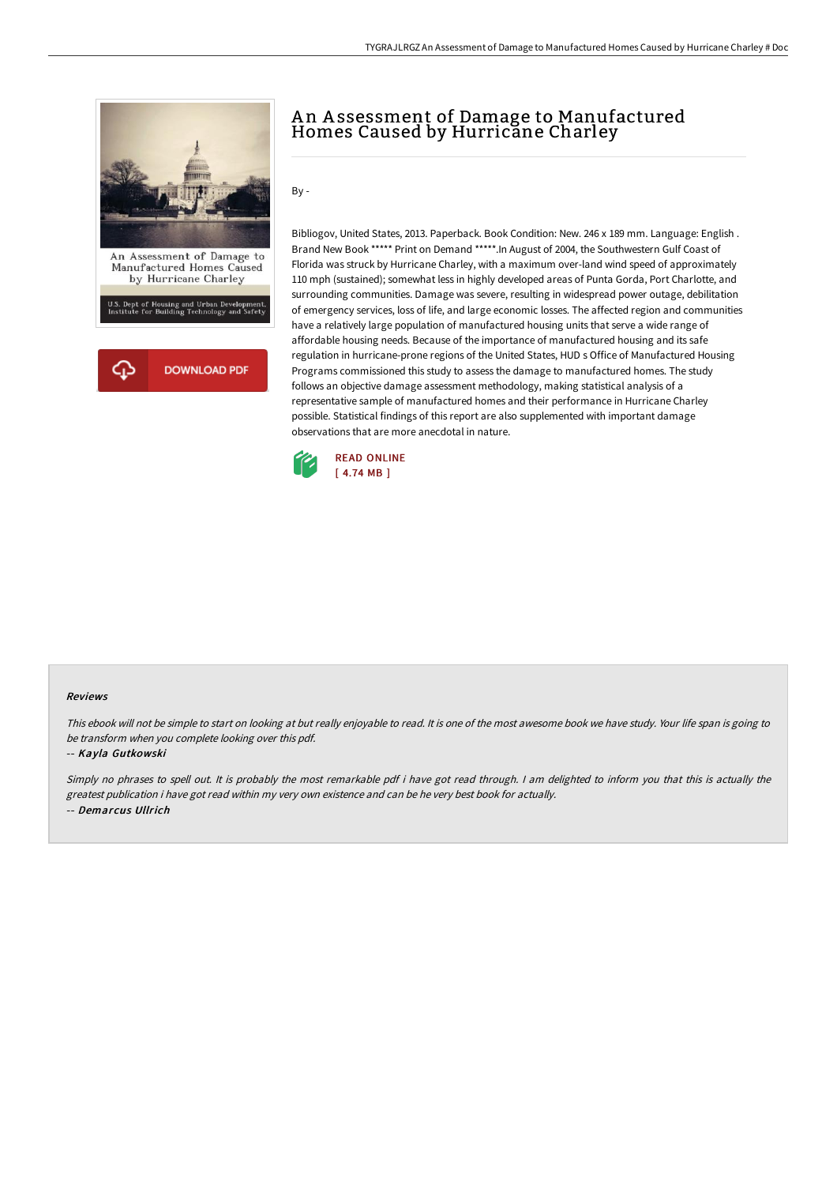

## An Assessment of Damage to Manufactured Homes Caused by Hurricane Charley

By -

Bibliogov, United States, 2013. Paperback. Book Condition: New. 246 x 189 mm. Language: English . Brand New Book \*\*\*\*\* Print on Demand \*\*\*\*\*. In August of 2004, the Southwestern Gulf Coast of Florida was struck by Hurricane Charley, with a maximum over-land wind speed of approximately 110 mph (sustained); somewhat less in highly developed areas of Punta Gorda, Port Charlotte, and surrounding communities. Damage was severe, resulting in widespread power outage, debilitation of emergency services, loss of life, and large economic losses. The affected region and communities have a relatively large population of manufactured housing units that serve a wide range of affordable housing needs. Because of the importance of manufactured housing and its safe regulation in hurricane-prone regions of the United States, HUD s Office of Manufactured Housing Programs commissioned this study to assess the damage to manufactured homes. The study follows an objective damage assessment methodology, making statistical analysis of a representative sample of manufactured homes and their performance in Hurricane Charley possible. Statistical findings of this report are also supplemented with important damage observations that are more anecdotal in nature.



## Reviews

This ebook will not be simple to start on looking at but really enjoyable to read. It is one of the most awesome book we have study. Your life span is going to be transform when you complete looking over this pdf.

## -- Kayla Gutkowski

Simply no phrases to spell out. It is probably the most remarkable pdf i have got read through. <sup>I</sup> am delighted to inform you that this is actually the greatest publication i have got read within my very own existence and can be he very best book for actually. -- Demarcus Ullrich